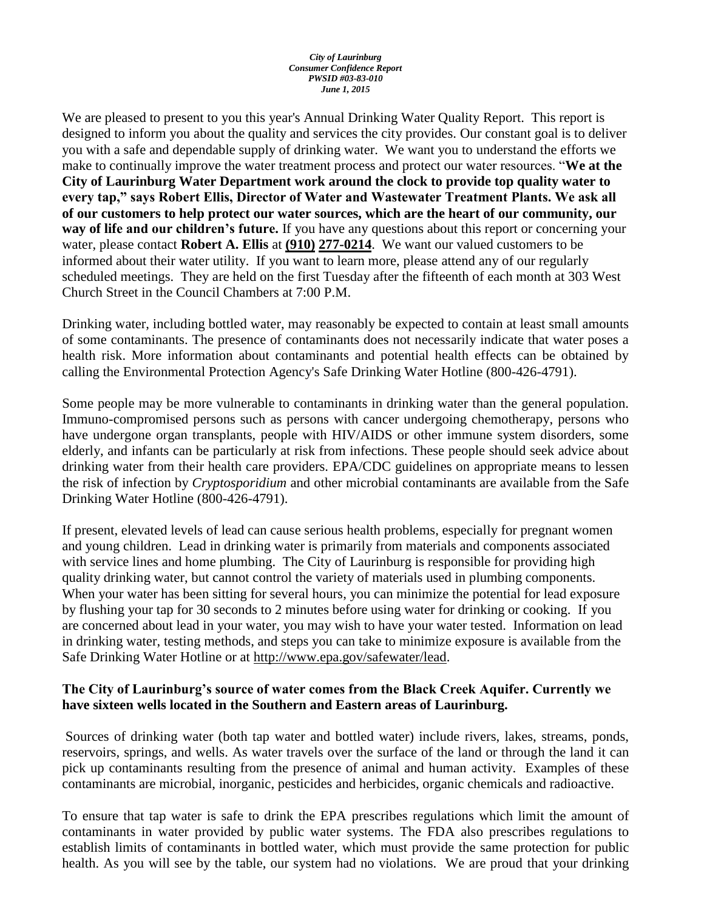#### *City of Laurinburg Consumer Confidence Report PWSID #03-83-010 June 1, 2015*

We are pleased to present to you this year's Annual Drinking Water Quality Report. This report is designed to inform you about the quality and services the city provides. Our constant goal is to deliver you with a safe and dependable supply of drinking water. We want you to understand the efforts we make to continually improve the water treatment process and protect our water resources. "**We at the City of Laurinburg Water Department work around the clock to provide top quality water to every tap," says Robert Ellis, Director of Water and Wastewater Treatment Plants. We ask all of our customers to help protect our water sources, which are the heart of our community, our way of life and our children's future.** If you have any questions about this report or concerning your water, please contact **Robert A. Ellis** at **(910) 277-0214**. We want our valued customers to be informed about their water utility. If you want to learn more, please attend any of our regularly scheduled meetings. They are held on the first Tuesday after the fifteenth of each month at 303 West Church Street in the Council Chambers at 7:00 P.M.

Drinking water, including bottled water, may reasonably be expected to contain at least small amounts of some contaminants. The presence of contaminants does not necessarily indicate that water poses a health risk. More information about contaminants and potential health effects can be obtained by calling the Environmental Protection Agency's Safe Drinking Water Hotline (800-426-4791).

Some people may be more vulnerable to contaminants in drinking water than the general population. Immuno-compromised persons such as persons with cancer undergoing chemotherapy, persons who have undergone organ transplants, people with HIV/AIDS or other immune system disorders, some elderly, and infants can be particularly at risk from infections. These people should seek advice about drinking water from their health care providers. EPA/CDC guidelines on appropriate means to lessen the risk of infection by *Cryptosporidium* and other microbial contaminants are available from the Safe Drinking Water Hotline (800-426-4791).

If present, elevated levels of lead can cause serious health problems, especially for pregnant women and young children. Lead in drinking water is primarily from materials and components associated with service lines and home plumbing. The City of Laurinburg is responsible for providing high quality drinking water, but cannot control the variety of materials used in plumbing components. When your water has been sitting for several hours, you can minimize the potential for lead exposure by flushing your tap for 30 seconds to 2 minutes before using water for drinking or cooking. If you are concerned about lead in your water, you may wish to have your water tested. Information on lead in drinking water, testing methods, and steps you can take to minimize exposure is available from the Safe Drinking Water Hotline or at [http://www.epa.gov/safewater/lead.](http://www.epa.gov/safewater/lead)

## **The City of Laurinburg's source of water comes from the Black Creek Aquifer. Currently we have sixteen wells located in the Southern and Eastern areas of Laurinburg.**

Sources of drinking water (both tap water and bottled water) include rivers, lakes, streams, ponds, reservoirs, springs, and wells. As water travels over the surface of the land or through the land it can pick up contaminants resulting from the presence of animal and human activity. Examples of these contaminants are microbial, inorganic, pesticides and herbicides, organic chemicals and radioactive.

To ensure that tap water is safe to drink the EPA prescribes regulations which limit the amount of contaminants in water provided by public water systems. The FDA also prescribes regulations to establish limits of contaminants in bottled water, which must provide the same protection for public health. As you will see by the table, our system had no violations. We are proud that your drinking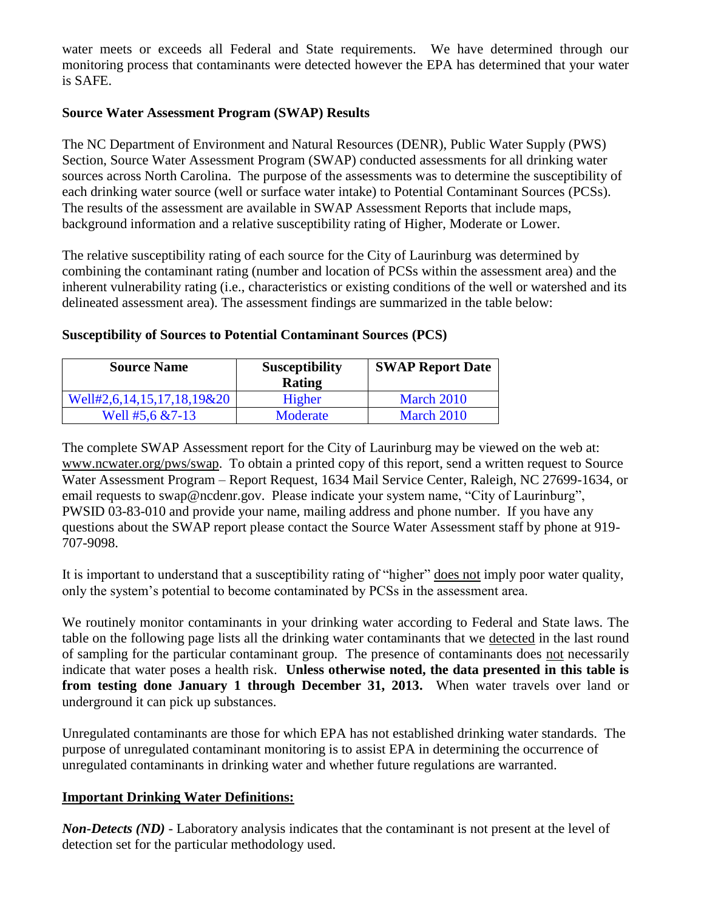water meets or exceeds all Federal and State requirements. We have determined through our monitoring process that contaminants were detected however the EPA has determined that your water is SAFE.

## **Source Water Assessment Program (SWAP) Results**

The NC Department of Environment and Natural Resources (DENR), Public Water Supply (PWS) Section, Source Water Assessment Program (SWAP) conducted assessments for all drinking water sources across North Carolina. The purpose of the assessments was to determine the susceptibility of each drinking water source (well or surface water intake) to Potential Contaminant Sources (PCSs). The results of the assessment are available in SWAP Assessment Reports that include maps, background information and a relative susceptibility rating of Higher, Moderate or Lower.

The relative susceptibility rating of each source for the City of Laurinburg was determined by combining the contaminant rating (number and location of PCSs within the assessment area) and the inherent vulnerability rating (i.e., characteristics or existing conditions of the well or watershed and its delineated assessment area). The assessment findings are summarized in the table below:

# **Susceptibility of Sources to Potential Contaminant Sources (PCS)**

| <b>Source Name</b>         | <b>Susceptibility</b><br>Rating | <b>SWAP Report Date</b> |
|----------------------------|---------------------------------|-------------------------|
| Well#2,6,14,15,17,18,19&20 | Higher                          | March 2010              |
| Well #5,6 $&7-13$          | Moderate                        | March 2010              |

The complete SWAP Assessment report for the City of Laurinburg may be viewed on the web at: [www.ncwater.org/pws/swap.](http://www.ncwater.org/pws/swap) To obtain a printed copy of this report, send a written request to Source Water Assessment Program – Report Request, 1634 Mail Service Center, Raleigh, NC 27699-1634, or email requests to swap@ncdenr.gov. Please indicate your system name, "City of Laurinburg", PWSID 03-83-010 and provide your name, mailing address and phone number. If you have any questions about the SWAP report please contact the Source Water Assessment staff by phone at 919- 707-9098.

It is important to understand that a susceptibility rating of "higher" does not imply poor water quality, only the system's potential to become contaminated by PCSs in the assessment area.

We routinely monitor contaminants in your drinking water according to Federal and State laws. The table on the following page lists all the drinking water contaminants that we detected in the last round of sampling for the particular contaminant group. The presence of contaminants does not necessarily indicate that water poses a health risk. **Unless otherwise noted, the data presented in this table is from testing done January 1 through December 31, 2013.** When water travels over land or underground it can pick up substances.

Unregulated contaminants are those for which EPA has not established drinking water standards. The purpose of unregulated contaminant monitoring is to assist EPA in determining the occurrence of unregulated contaminants in drinking water and whether future regulations are warranted.

## **Important Drinking Water Definitions:**

*Non-Detects (ND)* - Laboratory analysis indicates that the contaminant is not present at the level of detection set for the particular methodology used.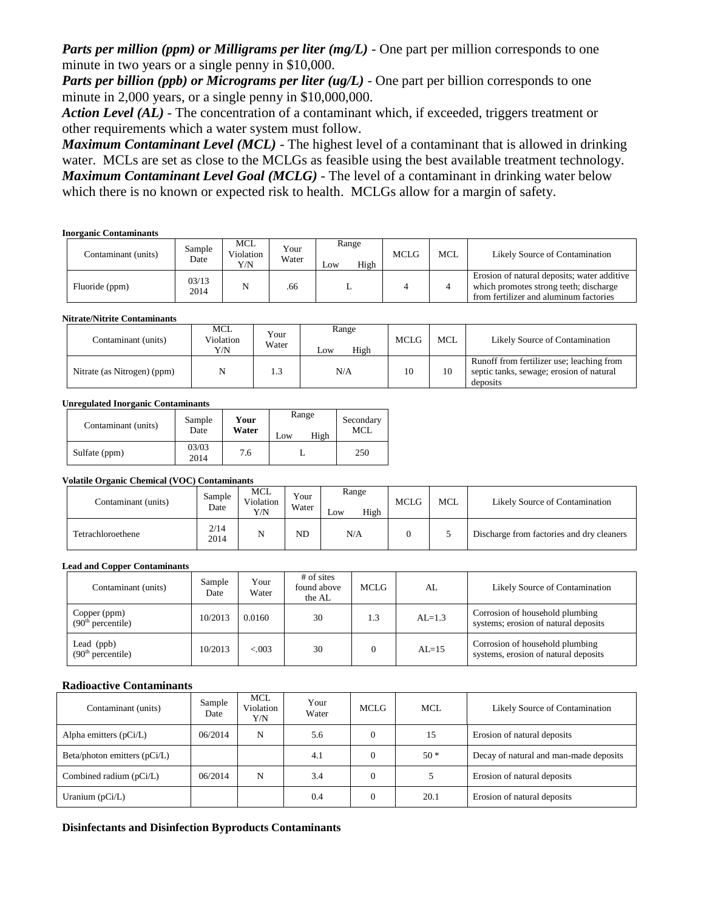*Parts per million (ppm) or Milligrams per liter (mg/L)* - One part per million corresponds to one minute in two years or a single penny in \$10,000.

*Parts per billion (ppb) or Micrograms per liter (ug/L)* - One part per billion corresponds to one minute in 2,000 years, or a single penny in \$10,000,000.

*Action Level (AL) -* The concentration of a contaminant which, if exceeded, triggers treatment or other requirements which a water system must follow.

*Maximum Contaminant Level (MCL)* - The highest level of a contaminant that is allowed in drinking water. MCLs are set as close to the MCLGs as feasible using the best available treatment technology. *Maximum Contaminant Level Goal (MCLG)* - The level of a contaminant in drinking water below which there is no known or expected risk to health. MCLGs allow for a margin of safety.

#### **Inorganic Contaminants**

| Contaminant (units) | Sample<br>Date | MCL<br>Violation<br>Y/N | Your<br>Water | Range<br>High<br>Low | <b>MCLG</b> | <b>MCL</b> | Likely Source of Contamination                                                                                                  |
|---------------------|----------------|-------------------------|---------------|----------------------|-------------|------------|---------------------------------------------------------------------------------------------------------------------------------|
| Fluoride (ppm)      | 03/13<br>2014  |                         | .66           | ∸                    |             |            | Erosion of natural deposits; water additive<br>which promotes strong teeth; discharge<br>from fertilizer and aluminum factories |

**Nitrate/Nitrite Contaminants** 

| Contaminant (units)         | <b>MCL</b><br>Violation<br>Y/N | Your<br>Water | Range<br>High<br>$L$ OW | <b>MCLG</b> | <b>MCL</b> | Likely Source of Contamination                                                                    |
|-----------------------------|--------------------------------|---------------|-------------------------|-------------|------------|---------------------------------------------------------------------------------------------------|
| Nitrate (as Nitrogen) (ppm) |                                | 1.3           | N/A                     |             | 10         | Runoff from fertilizer use; leaching from<br>septic tanks, sewage; erosion of natural<br>deposits |

#### **Unregulated Inorganic Contaminants**

| Contaminant (units) | Sample        | Your  | Range       | Secondary<br>MCL |
|---------------------|---------------|-------|-------------|------------------|
|                     | Date          | Water | High<br>Low |                  |
| Sulfate (ppm)       | 03/03<br>2014 | 7.6   |             | 250              |

#### **Volatile Organic Chemical (VOC) Contaminants**

| Contaminant (units) | Sample<br>Date | MCL<br>Violation<br>Y/N | Your<br>Water | Range<br>High<br>LOW | <b>MCLG</b> | <b>MCL</b> | Likely Source of Contamination            |
|---------------------|----------------|-------------------------|---------------|----------------------|-------------|------------|-------------------------------------------|
| Tetrachloroethene   | 2/14<br>2014   | N                       | <b>ND</b>     | N/A                  |             |            | Discharge from factories and dry cleaners |

#### **Lead and Copper Contaminants**

| Contaminant (units)                           | Sample<br>Date | Your<br>Water | # of sites<br>found above<br>the AL | MCLG | AL         | Likely Source of Contamination                                          |
|-----------------------------------------------|----------------|---------------|-------------------------------------|------|------------|-------------------------------------------------------------------------|
| Copper (ppm)<br>(90 <sup>th</sup> percentile) | 10/2013        | 0.0160        | 30                                  | 1.3  | $AI = 1.3$ | Corrosion of household plumbing<br>systems; erosion of natural deposits |
| Lead (ppb)<br>(90 <sup>th</sup> percentile)   | 10/2013        | &0.03         | 30                                  |      | $AL=15$    | Corrosion of household plumbing<br>systems, erosion of natural deposits |

### **Radioactive Contaminants**

| Contaminant (units)            | Sample<br>Date | <b>MCL</b><br>Violation<br>Y/N | Your<br>Water | MCLG | <b>MCL</b> | Likely Source of Contamination         |
|--------------------------------|----------------|--------------------------------|---------------|------|------------|----------------------------------------|
| Alpha emitters $(pCi/L)$       | 06/2014        | N                              | 5.6           |      | 15         | Erosion of natural deposits            |
| Beta/photon emitters $(pCi/L)$ |                |                                | 4.1           |      | $50*$      | Decay of natural and man-made deposits |
| Combined radium (pCi/L)        | 06/2014        | N                              | 3.4           |      |            | Erosion of natural deposits            |
| Uranium $(pCi/L)$              |                |                                | 0.4           |      | 20.1       | Erosion of natural deposits            |

### **Disinfectants and Disinfection Byproducts Contaminants**